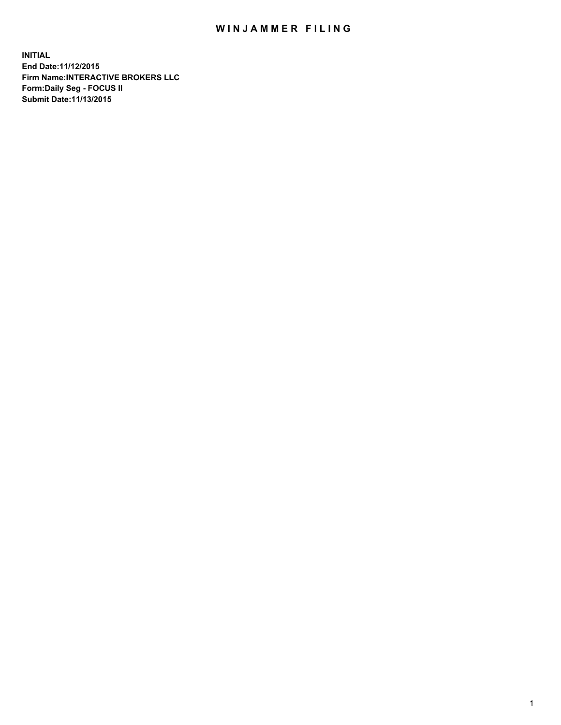## WIN JAMMER FILING

**INITIAL End Date:11/12/2015 Firm Name:INTERACTIVE BROKERS LLC Form:Daily Seg - FOCUS II Submit Date:11/13/2015**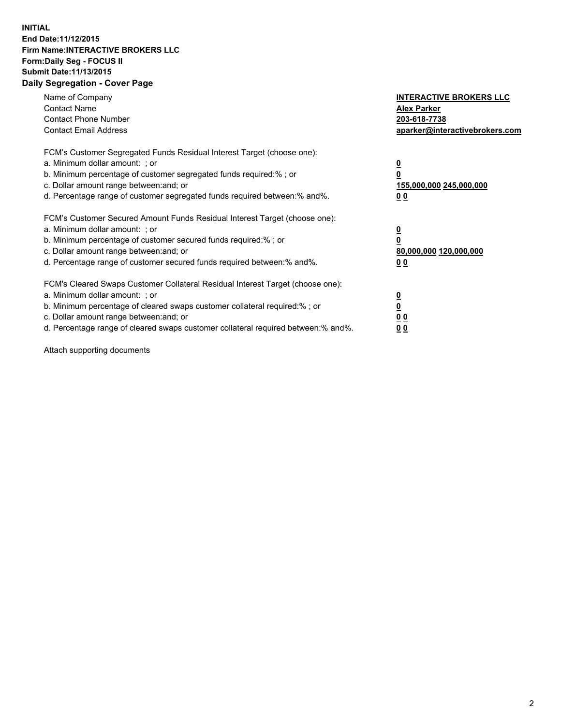## **INITIAL End Date:11/12/2015 Firm Name:INTERACTIVE BROKERS LLC Form:Daily Seg - FOCUS II Submit Date:11/13/2015 Daily Segregation - Cover Page**

| Name of Company<br><b>Contact Name</b><br><b>Contact Phone Number</b><br><b>Contact Email Address</b>                                                                                                                                                                                                                         | <b>INTERACTIVE BROKERS LLC</b><br><b>Alex Parker</b><br>203-618-7738<br>aparker@interactivebrokers.com |
|-------------------------------------------------------------------------------------------------------------------------------------------------------------------------------------------------------------------------------------------------------------------------------------------------------------------------------|--------------------------------------------------------------------------------------------------------|
| FCM's Customer Segregated Funds Residual Interest Target (choose one):<br>a. Minimum dollar amount: ; or<br>b. Minimum percentage of customer segregated funds required:% ; or<br>c. Dollar amount range between: and; or<br>d. Percentage range of customer segregated funds required between: % and %.                      | <u>0</u><br>155,000,000 245,000,000<br>00                                                              |
| FCM's Customer Secured Amount Funds Residual Interest Target (choose one):<br>a. Minimum dollar amount: ; or<br>b. Minimum percentage of customer secured funds required:%; or<br>c. Dollar amount range between: and; or<br>d. Percentage range of customer secured funds required between:% and%.                           | <u>0</u><br>80,000,000 120,000,000<br>00                                                               |
| FCM's Cleared Swaps Customer Collateral Residual Interest Target (choose one):<br>a. Minimum dollar amount: ; or<br>b. Minimum percentage of cleared swaps customer collateral required:%; or<br>c. Dollar amount range between: and; or<br>d. Percentage range of cleared swaps customer collateral required between:% and%. | <u>0</u><br>0 <sub>0</sub><br><u>0 0</u>                                                               |

Attach supporting documents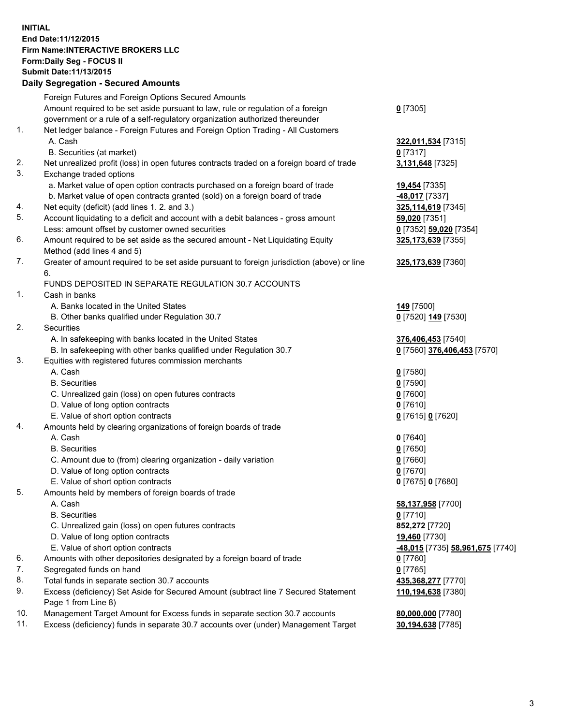## **INITIAL End Date:11/12/2015 Firm Name:INTERACTIVE BROKERS LLC Form:Daily Seg - FOCUS II Submit Date:11/13/2015 Daily Segregation - Secured Amounts**

|     | Daily Jegiegation - Jeculeu Alliounts                                                       |                                  |
|-----|---------------------------------------------------------------------------------------------|----------------------------------|
|     | Foreign Futures and Foreign Options Secured Amounts                                         |                                  |
|     | Amount required to be set aside pursuant to law, rule or regulation of a foreign            | $0$ [7305]                       |
|     | government or a rule of a self-regulatory organization authorized thereunder                |                                  |
| 1.  | Net ledger balance - Foreign Futures and Foreign Option Trading - All Customers             |                                  |
|     | A. Cash                                                                                     | 322,011,534 [7315]               |
|     | B. Securities (at market)                                                                   | $0$ [7317]                       |
| 2.  | Net unrealized profit (loss) in open futures contracts traded on a foreign board of trade   | 3,131,648 [7325]                 |
| 3.  | Exchange traded options                                                                     |                                  |
|     | a. Market value of open option contracts purchased on a foreign board of trade              | <b>19,454</b> [7335]             |
|     | b. Market value of open contracts granted (sold) on a foreign board of trade                | -48,017 [7337]                   |
| 4.  | Net equity (deficit) (add lines 1. 2. and 3.)                                               | 325,114,619 [7345]               |
| 5.  | Account liquidating to a deficit and account with a debit balances - gross amount           | 59,020 [7351]                    |
|     |                                                                                             |                                  |
| 6.  | Less: amount offset by customer owned securities                                            | 0 [7352] 59,020 [7354]           |
|     | Amount required to be set aside as the secured amount - Net Liquidating Equity              | 325, 173, 639 [7355]             |
|     | Method (add lines 4 and 5)                                                                  |                                  |
| 7.  | Greater of amount required to be set aside pursuant to foreign jurisdiction (above) or line | 325,173,639 [7360]               |
|     | 6.                                                                                          |                                  |
|     | FUNDS DEPOSITED IN SEPARATE REGULATION 30.7 ACCOUNTS                                        |                                  |
| 1.  | Cash in banks                                                                               |                                  |
|     | A. Banks located in the United States                                                       | <b>149</b> [7500]                |
|     | B. Other banks qualified under Regulation 30.7                                              | 0 [7520] 149 [7530]              |
| 2.  | Securities                                                                                  |                                  |
|     | A. In safekeeping with banks located in the United States                                   | 376,406,453 [7540]               |
|     | B. In safekeeping with other banks qualified under Regulation 30.7                          | 0 [7560] 376,406,453 [7570]      |
| 3.  | Equities with registered futures commission merchants                                       |                                  |
|     | A. Cash                                                                                     | $0$ [7580]                       |
|     | <b>B.</b> Securities                                                                        | $0$ [7590]                       |
|     | C. Unrealized gain (loss) on open futures contracts                                         | $0$ [7600]                       |
|     | D. Value of long option contracts                                                           | $0$ [7610]                       |
|     | E. Value of short option contracts                                                          | 0 [7615] 0 [7620]                |
| 4.  | Amounts held by clearing organizations of foreign boards of trade                           |                                  |
|     | A. Cash                                                                                     | $0$ [7640]                       |
|     | <b>B.</b> Securities                                                                        | $0$ [7650]                       |
|     | C. Amount due to (from) clearing organization - daily variation                             | $0$ [7660]                       |
|     | D. Value of long option contracts                                                           | $0$ [7670]                       |
|     | E. Value of short option contracts                                                          | 0 [7675] 0 [7680]                |
| 5.  | Amounts held by members of foreign boards of trade                                          |                                  |
|     | A. Cash                                                                                     | 58,137,958 [7700]                |
|     | <b>B.</b> Securities                                                                        | $0$ [7710]                       |
|     | C. Unrealized gain (loss) on open futures contracts                                         | 852,272 [7720]                   |
|     | D. Value of long option contracts                                                           | 19,460 [7730]                    |
|     | E. Value of short option contracts                                                          | -48,015 [7735] 58,961,675 [7740] |
| 6.  | Amounts with other depositories designated by a foreign board of trade                      | 0 [7760]                         |
| 7.  | Segregated funds on hand                                                                    | $0$ [7765]                       |
| 8.  | Total funds in separate section 30.7 accounts                                               | 435,368,277 [7770]               |
| 9.  | Excess (deficiency) Set Aside for Secured Amount (subtract line 7 Secured Statement         | 110,194,638 [7380]               |
|     | Page 1 from Line 8)                                                                         |                                  |
| 10. | Management Target Amount for Excess funds in separate section 30.7 accounts                 | 80,000,000 [7780]                |
| 11. | Excess (deficiency) funds in separate 30.7 accounts over (under) Management Target          | 30,194,638 [7785]                |
|     |                                                                                             |                                  |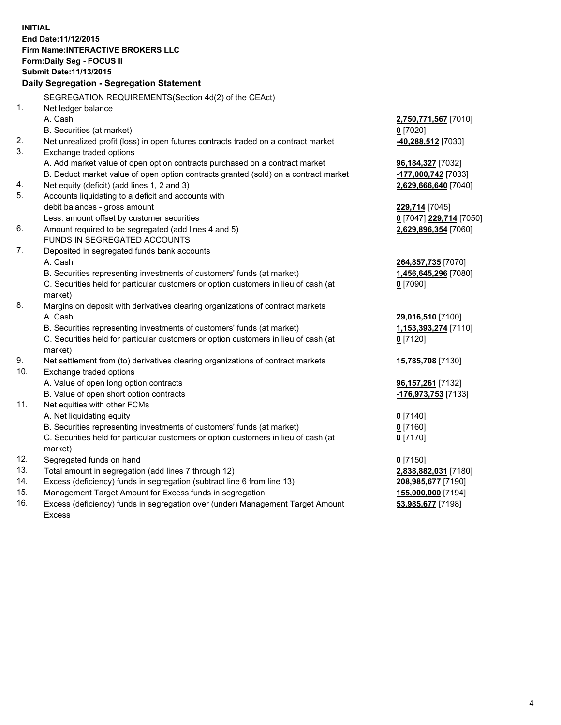**INITIAL End Date:11/12/2015 Firm Name:INTERACTIVE BROKERS LLC Form:Daily Seg - FOCUS II Submit Date:11/13/2015 Daily Segregation - Segregation Statement** SEGREGATION REQUIREMENTS(Section 4d(2) of the CEAct) 1. Net ledger balance A. Cash **2,750,771,567** [7010] B. Securities (at market) **0** [7020] 2. Net unrealized profit (loss) in open futures contracts traded on a contract market **-40,288,512** [7030] 3. Exchange traded options A. Add market value of open option contracts purchased on a contract market **96,184,327** [7032] B. Deduct market value of open option contracts granted (sold) on a contract market **-177,000,742** [7033] 4. Net equity (deficit) (add lines 1, 2 and 3) **2,629,666,640** [7040] 5. Accounts liquidating to a deficit and accounts with debit balances - gross amount **229,714** [7045] Less: amount offset by customer securities **0** [7047] **229,714** [7050] 6. Amount required to be segregated (add lines 4 and 5) **2,629,896,354** [7060] FUNDS IN SEGREGATED ACCOUNTS 7. Deposited in segregated funds bank accounts A. Cash **264,857,735** [7070] B. Securities representing investments of customers' funds (at market) **1,456,645,296** [7080] C. Securities held for particular customers or option customers in lieu of cash (at market) **0** [7090] 8. Margins on deposit with derivatives clearing organizations of contract markets A. Cash **29,016,510** [7100] B. Securities representing investments of customers' funds (at market) **1,153,393,274** [7110] C. Securities held for particular customers or option customers in lieu of cash (at market) **0** [7120] 9. Net settlement from (to) derivatives clearing organizations of contract markets **15,785,708** [7130] 10. Exchange traded options A. Value of open long option contracts **96,157,261** [7132] B. Value of open short option contracts **-176,973,753** [7133] 11. Net equities with other FCMs A. Net liquidating equity **0** [7140] B. Securities representing investments of customers' funds (at market) **0** [7160] C. Securities held for particular customers or option customers in lieu of cash (at market) **0** [7170] 12. Segregated funds on hand **0** [7150] 13. Total amount in segregation (add lines 7 through 12) **2,838,882,031** [7180] 14. Excess (deficiency) funds in segregation (subtract line 6 from line 13) **208,985,677** [7190] 15. Management Target Amount for Excess funds in segregation **155,000,000** [7194] **53,985,677** [7198]

16. Excess (deficiency) funds in segregation over (under) Management Target Amount Excess